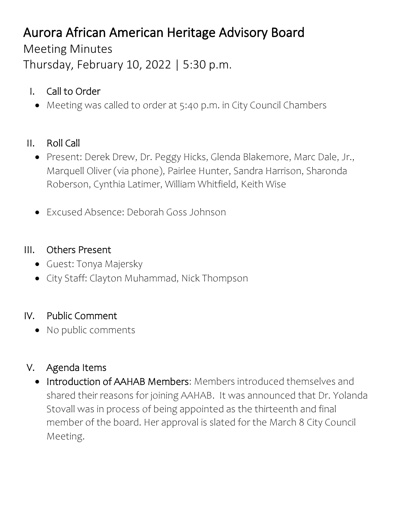# Aurora African American Heritage Advisory Board

Meeting Minutes

Thursday, February 10, 2022 | 5:30 p.m.

- I. Call to Order
	- Meeting was called to order at 5:40 p.m. in City Council Chambers
- II. Roll Call
	- Present: Derek Drew, Dr. Peggy Hicks, Glenda Blakemore, Marc Dale, Jr., Marquell Oliver (via phone), Pairlee Hunter, Sandra Harrison, Sharonda Roberson, Cynthia Latimer, William Whitfield, Keith Wise
	- Excused Absence: Deborah Goss Johnson

#### III. Others Present

- Guest: Tonya Majersky
- City Staff: Clayton Muhammad, Nick Thompson

### IV. Public Comment

• No public comments

### V. Agenda Items

• Introduction of AAHAB Members: Members introduced themselves and shared their reasons for joining AAHAB. It was announced that Dr. Yolanda Stovall was in process of being appointed as the thirteenth and final member of the board. Her approval is slated for the March 8 City Council Meeting.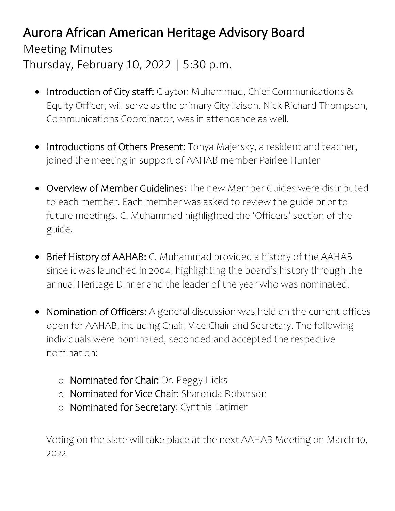## Aurora African American Heritage Advisory Board

Meeting Minutes Thursday, February 10, 2022 | 5:30 p.m.

- Introduction of City staff: Clayton Muhammad, Chief Communications & Equity Officer, will serve as the primary City liaison. Nick Richard-Thompson, Communications Coordinator, was in attendance as well.
- Introductions of Others Present: Tonya Majersky, a resident and teacher, joined the meeting in support of AAHAB member Pairlee Hunter
- Overview of Member Guidelines: The new Member Guides were distributed to each member. Each member was asked to review the guide prior to future meetings. C. Muhammad highlighted the 'Officers' section of the guide.
- Brief History of AAHAB: C. Muhammad provided a history of the AAHAB since it was launched in 2004, highlighting the board's history through the annual Heritage Dinner and the leader of the year who was nominated.
- Nomination of Officers: A general discussion was held on the current offices open for AAHAB, including Chair, Vice Chair and Secretary. The following individuals were nominated, seconded and accepted the respective nomination:
	- o Nominated for Chair: Dr. Peggy Hicks
	- o Nominated for Vice Chair: Sharonda Roberson
	- o Nominated for Secretary: Cynthia Latimer

Voting on the slate will take place at the next AAHAB Meeting on March 10, 2022